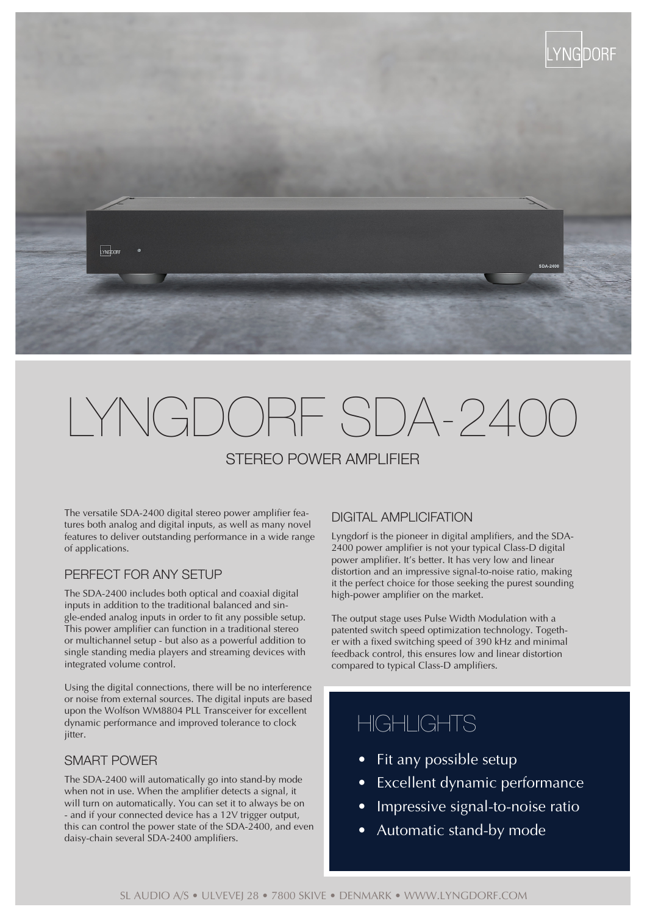

# LYNGDORF SDA-2400

# STEREO POWER AMPLIFIER

The versatile SDA-2400 digital stereo power amplifier features both analog and digital inputs, as well as many novel features to deliver outstanding performance in a wide range of applications.

#### PERFECT FOR ANY SETUP

The SDA-2400 includes both optical and coaxial digital inputs in addition to the traditional balanced and single-ended analog inputs in order to fit any possible setup. This power amplifier can function in a traditional stereo or multichannel setup - but also as a powerful addition to single standing media players and streaming devices with integrated volume control.

Using the digital connections, there will be no interference or noise from external sources. The digital inputs are based upon the Wolfson WM8804 PLL Transceiver for excellent dynamic performance and improved tolerance to clock iitter.

#### SMART POWER

The SDA-2400 will automatically go into stand-by mode when not in use. When the amplifier detects a signal, it will turn on automatically. You can set it to always be on - and if your connected device has a 12V trigger output, this can control the power state of the SDA-2400, and even daisy-chain several SDA-2400 amplifiers.

### DIGITAL AMPLICIFATION

Lyngdorf is the pioneer in digital amplifiers, and the SDA-2400 power amplifier is not your typical Class-D digital power amplifier. It's better. It has very low and linear distortion and an impressive signal-to-noise ratio, making it the perfect choice for those seeking the purest sounding high-power amplifier on the market.

The output stage uses Pulse Width Modulation with a patented switch speed optimization technology. Together with a fixed switching speed of 390 kHz and minimal feedback control, this ensures low and linear distortion compared to typical Class-D amplifiers.

# **HIGHLIGHTS**

- Fit any possible setup
- Excellent dynamic performance
- Impressive signal-to-noise ratio
- Automatic stand-by mode